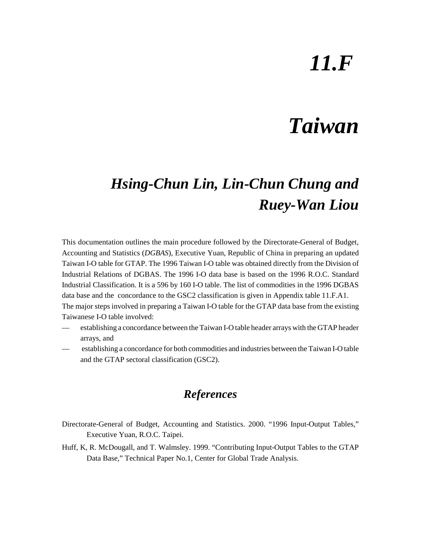# *11.F*

## *Taiwan*

## *Hsing-Chun Lin, Lin-Chun Chung and Ruey-Wan Liou*

This documentation outlines the main procedure followed by the Directorate-General of Budget, Accounting and Statistics (*DGBAS*), Executive Yuan, Republic of China in preparing an updated Taiwan I-O table for GTAP. The 1996 Taiwan I-O table was obtained directly from the Division of Industrial Relations of DGBAS. The 1996 I-O data base is based on the 1996 R.O.C. Standard Industrial Classification. It is a 596 by 160 I-O table. The list of commodities in the 1996 DGBAS data base and the concordance to the GSC2 classification is given in Appendix table 11.F.A1. The major steps involved in preparing a Taiwan I-O table for the GTAP data base from the existing Taiwanese I-O table involved:

- establishing a concordance between the Taiwan I-O table header arrays with the GTAP header arrays, and
- establishing a concordance for both commodities and industries between the Taiwan I-O table and the GTAP sectoral classification (GSC2).

### *References*

- Directorate-General of Budget, Accounting and Statistics. 2000. "1996 Input-Output Tables," Executive Yuan, R.O.C. Taipei.
- Huff, K, R. McDougall, and T. Walmsley. 1999. "Contributing Input-Output Tables to the GTAP Data Base," Technical Paper No.1, Center for Global Trade Analysis.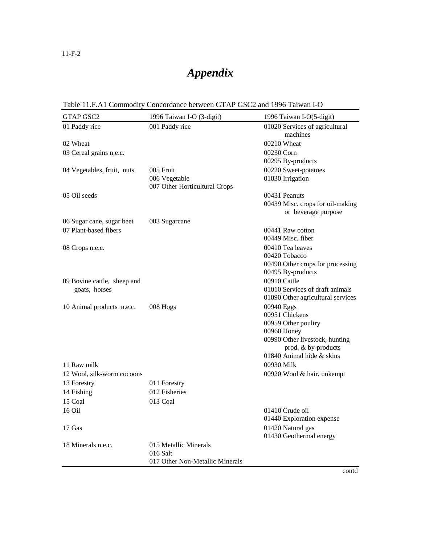### *Appendix*

|  |  | Table 11.F.A1 Commodity Concordance between GTAP GSC2 and 1996 Taiwan I-O |  |  |
|--|--|---------------------------------------------------------------------------|--|--|
|--|--|---------------------------------------------------------------------------|--|--|

| GTAP GSC2                   | 1996 Taiwan I-O (3-digit)         | 1996 Taiwan I-O(5-digit)                              |
|-----------------------------|-----------------------------------|-------------------------------------------------------|
| 01 Paddy rice               | 001 Paddy rice                    | 01020 Services of agricultural<br>machines            |
| 02 Wheat                    |                                   | 00210 Wheat                                           |
| 03 Cereal grains n.e.c.     |                                   | 00230 Corn                                            |
|                             |                                   | 00295 By-products                                     |
| 04 Vegetables, fruit, nuts  | 005 Fruit                         | 00220 Sweet-potatoes                                  |
|                             | 006 Vegetable                     | 01030 Irrigation                                      |
|                             | 007 Other Horticultural Crops     |                                                       |
| 05 Oil seeds                |                                   | 00431 Peanuts                                         |
|                             |                                   | 00439 Misc. crops for oil-making                      |
|                             |                                   | or beverage purpose                                   |
| 06 Sugar cane, sugar beet   | 003 Sugarcane                     |                                                       |
| 07 Plant-based fibers       |                                   | 00441 Raw cotton                                      |
|                             |                                   | 00449 Misc. fiber                                     |
| 08 Crops n.e.c.             |                                   | 00410 Tea leaves                                      |
|                             |                                   | 00420 Tobacco                                         |
|                             |                                   | 00490 Other crops for processing<br>00495 By-products |
| 09 Bovine cattle, sheep and |                                   | 00910 Cattle                                          |
| goats, horses               |                                   | 01010 Services of draft animals                       |
|                             |                                   | 01090 Other agricultural services                     |
| 10 Animal products n.e.c.   | 008 Hogs                          | 00940 Eggs                                            |
|                             |                                   | 00951 Chickens                                        |
|                             |                                   | 00959 Other poultry                                   |
|                             |                                   | 00960 Honey                                           |
|                             |                                   | 00990 Other livestock, hunting<br>prod. & by-products |
|                             |                                   | 01840 Animal hide & skins                             |
| 11 Raw milk                 |                                   | 00930 Milk                                            |
| 12 Wool, silk-worm cocoons  |                                   | 00920 Wool & hair, unkempt                            |
| 13 Forestry                 | 011 Forestry                      |                                                       |
| 14 Fishing                  | 012 Fisheries                     |                                                       |
| 15 Coal                     | 013 Coal                          |                                                       |
| 16 Oil                      |                                   | 01410 Crude oil                                       |
|                             |                                   | 01440 Exploration expense                             |
| 17 Gas                      |                                   | 01420 Natural gas                                     |
|                             |                                   | 01430 Geothermal energy                               |
| 18 Minerals n.e.c.          | 015 Metallic Minerals<br>016 Salt |                                                       |
|                             | 017 Other Non-Metallic Minerals   |                                                       |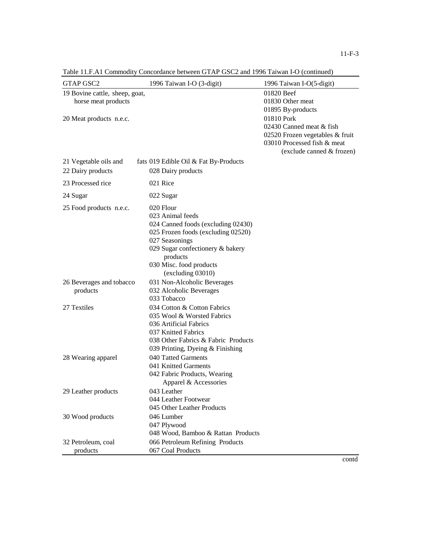| <b>GTAP GSC2</b>                                      | 1996 Taiwan I-O (3-digit)                                                                                                                                                                                                   | 1996 Taiwan I-O(5-digit)                                                                                                              |
|-------------------------------------------------------|-----------------------------------------------------------------------------------------------------------------------------------------------------------------------------------------------------------------------------|---------------------------------------------------------------------------------------------------------------------------------------|
| 19 Bovine cattle, sheep, goat,<br>horse meat products |                                                                                                                                                                                                                             | 01820 Beef<br>01830 Other meat<br>01895 By-products                                                                                   |
| 20 Meat products n.e.c.                               |                                                                                                                                                                                                                             | 01810 Pork<br>02430 Canned meat & fish<br>02520 Frozen vegetables & fruit<br>03010 Processed fish & meat<br>(exclude canned & frozen) |
| 21 Vegetable oils and<br>22 Dairy products            | fats 019 Edible Oil & Fat By-Products<br>028 Dairy products                                                                                                                                                                 |                                                                                                                                       |
| 23 Processed rice                                     | 021 Rice                                                                                                                                                                                                                    |                                                                                                                                       |
| 24 Sugar                                              | 022 Sugar                                                                                                                                                                                                                   |                                                                                                                                       |
| 25 Food products n.e.c.                               | 020 Flour<br>023 Animal feeds<br>024 Canned foods (excluding 02430)<br>025 Frozen foods (excluding 02520)<br>027 Seasonings<br>029 Sugar confectionery & bakery<br>products<br>030 Misc. food products<br>(excluding 03010) |                                                                                                                                       |
| 26 Beverages and tobacco<br>products                  | 031 Non-Alcoholic Beverages<br>032 Alcoholic Beverages<br>033 Tobacco                                                                                                                                                       |                                                                                                                                       |
| 27 Textiles                                           | 034 Cotton & Cotton Fabrics<br>035 Wool & Worsted Fabrics<br>036 Artificial Fabrics<br>037 Knitted Fabrics<br>038 Other Fabrics & Fabric Products<br>039 Printing, Dyeing & Finishing                                       |                                                                                                                                       |
| 28 Wearing apparel                                    | 040 Tatted Garments<br>041 Knitted Garments<br>042 Fabric Products, Wearing<br>Apparel & Accessories                                                                                                                        |                                                                                                                                       |
| 29 Leather products                                   | 043 Leather<br>044 Leather Footwear<br>045 Other Leather Products                                                                                                                                                           |                                                                                                                                       |
| 30 Wood products                                      | 046 Lumber<br>047 Plywood<br>048 Wood, Bamboo & Rattan Products                                                                                                                                                             |                                                                                                                                       |
| 32 Petroleum, coal<br>products                        | 066 Petroleum Refining Products<br>067 Coal Products                                                                                                                                                                        |                                                                                                                                       |

Table 11.F.A1 Commodity Concordance between GTAP GSC2 and 1996 Taiwan I-O (continued)

contd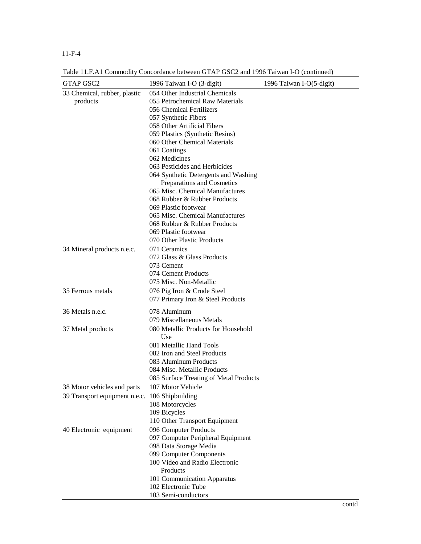#### 11-F-4

Table 11.F.A1 Commodity Concordance between GTAP GSC2 and 1996 Taiwan I-O (continued)

| <b>GTAP GSC2</b>                               | Table 11.1. AT Commodity Concordance between GTAP GSC2 and 1990 Tarwall I-O (Continued)<br>1996 Taiwan I-O (3-digit) | 1996 Taiwan I-O(5-digit) |
|------------------------------------------------|----------------------------------------------------------------------------------------------------------------------|--------------------------|
| 33 Chemical, rubber, plastic                   | 054 Other Industrial Chemicals                                                                                       |                          |
| products                                       | 055 Petrochemical Raw Materials                                                                                      |                          |
|                                                | 056 Chemical Fertilizers                                                                                             |                          |
|                                                | 057 Synthetic Fibers                                                                                                 |                          |
|                                                | 058 Other Artificial Fibers                                                                                          |                          |
|                                                | 059 Plastics (Synthetic Resins)                                                                                      |                          |
|                                                | 060 Other Chemical Materials                                                                                         |                          |
|                                                | 061 Coatings                                                                                                         |                          |
|                                                | 062 Medicines                                                                                                        |                          |
|                                                | 063 Pesticides and Herbicides                                                                                        |                          |
|                                                | 064 Synthetic Detergents and Washing                                                                                 |                          |
|                                                | Preparations and Cosmetics<br>065 Misc. Chemical Manufactures                                                        |                          |
|                                                | 068 Rubber & Rubber Products                                                                                         |                          |
|                                                | 069 Plastic footwear                                                                                                 |                          |
|                                                | 065 Misc. Chemical Manufactures                                                                                      |                          |
|                                                |                                                                                                                      |                          |
|                                                | 068 Rubber & Rubber Products<br>069 Plastic footwear                                                                 |                          |
|                                                | 070 Other Plastic Products                                                                                           |                          |
|                                                | 071 Ceramics                                                                                                         |                          |
| 34 Mineral products n.e.c.                     |                                                                                                                      |                          |
|                                                | 072 Glass & Glass Products                                                                                           |                          |
|                                                | 073 Cement<br>074 Cement Products                                                                                    |                          |
|                                                | 075 Misc. Non-Metallic                                                                                               |                          |
|                                                |                                                                                                                      |                          |
| 35 Ferrous metals                              | 076 Pig Iron & Crude Steel<br>077 Primary Iron & Steel Products                                                      |                          |
| 36 Metals n.e.c.                               | 078 Aluminum                                                                                                         |                          |
|                                                | 079 Miscellaneous Metals                                                                                             |                          |
| 37 Metal products                              | 080 Metallic Products for Household<br>Use                                                                           |                          |
|                                                | 081 Metallic Hand Tools                                                                                              |                          |
|                                                | 082 Iron and Steel Products                                                                                          |                          |
|                                                | 083 Aluminum Products                                                                                                |                          |
|                                                | 084 Misc. Metallic Products                                                                                          |                          |
|                                                | 085 Surface Treating of Metal Products                                                                               |                          |
| 38 Motor vehicles and parts                    | 107 Motor Vehicle                                                                                                    |                          |
| 39 Transport equipment n.e.c. 106 Shipbuilding |                                                                                                                      |                          |
|                                                | 108 Motorcycles                                                                                                      |                          |
|                                                | 109 Bicycles                                                                                                         |                          |
|                                                | 110 Other Transport Equipment                                                                                        |                          |
| 40 Electronic equipment                        | 096 Computer Products                                                                                                |                          |
|                                                | 097 Computer Peripheral Equipment                                                                                    |                          |
|                                                | 098 Data Storage Media                                                                                               |                          |
|                                                | 099 Computer Components                                                                                              |                          |
|                                                | 100 Video and Radio Electronic                                                                                       |                          |
|                                                | Products                                                                                                             |                          |
|                                                | 101 Communication Apparatus                                                                                          |                          |
|                                                | 102 Electronic Tube                                                                                                  |                          |
|                                                | 103 Semi-conductors                                                                                                  |                          |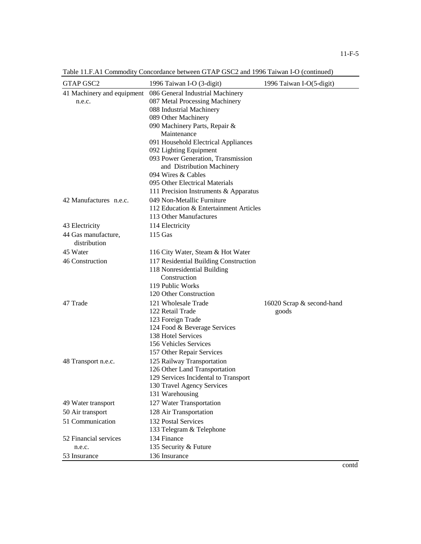| <b>GTAP GSC2</b>                    | 1996 Taiwan I-O (3-digit)                       | 1996 Taiwan I-O(5-digit)  |
|-------------------------------------|-------------------------------------------------|---------------------------|
| 41 Machinery and equipment          | 086 General Industrial Machinery                |                           |
| n.e.c.                              | 087 Metal Processing Machinery                  |                           |
|                                     | 088 Industrial Machinery                        |                           |
|                                     | 089 Other Machinery                             |                           |
|                                     | 090 Machinery Parts, Repair &                   |                           |
|                                     | Maintenance                                     |                           |
|                                     | 091 Household Electrical Appliances             |                           |
|                                     | 092 Lighting Equipment                          |                           |
|                                     | 093 Power Generation, Transmission              |                           |
|                                     | and Distribution Machinery                      |                           |
|                                     | 094 Wires & Cables                              |                           |
|                                     | 095 Other Electrical Materials                  |                           |
|                                     | 111 Precision Instruments & Apparatus           |                           |
| 42 Manufactures n.e.c.              | 049 Non-Metallic Furniture                      |                           |
|                                     | 112 Education & Entertainment Articles          |                           |
|                                     | 113 Other Manufactures                          |                           |
| 43 Electricity                      | 114 Electricity                                 |                           |
| 44 Gas manufacture,<br>distribution | $115$ Gas                                       |                           |
| 45 Water                            | 116 City Water, Steam & Hot Water               |                           |
| 46 Construction                     | 117 Residential Building Construction           |                           |
|                                     | 118 Nonresidential Building                     |                           |
|                                     | Construction                                    |                           |
|                                     | 119 Public Works                                |                           |
|                                     | 120 Other Construction                          |                           |
| 47 Trade                            | 121 Wholesale Trade                             | 16020 Scrap & second-hand |
|                                     | 122 Retail Trade                                | goods                     |
|                                     | 123 Foreign Trade                               |                           |
|                                     | 124 Food & Beverage Services                    |                           |
|                                     | 138 Hotel Services                              |                           |
|                                     | 156 Vehicles Services                           |                           |
|                                     | 157 Other Repair Services                       |                           |
| 48 Transport n.e.c.                 | 125 Railway Transportation                      |                           |
|                                     | 126 Other Land Transportation                   |                           |
|                                     | 129 Services Incidental to Transport            |                           |
|                                     | 130 Travel Agency Services                      |                           |
|                                     | 131 Warehousing                                 |                           |
| 49 Water transport                  | 127 Water Transportation                        |                           |
| 50 Air transport                    | 128 Air Transportation                          |                           |
| 51 Communication                    | 132 Postal Services<br>133 Telegram & Telephone |                           |
| 52 Financial services               | 134 Finance                                     |                           |
| n.e.c.                              | 135 Security & Future                           |                           |
| 53 Insurance                        | 136 Insurance                                   |                           |

Table 11.F.A1 Commodity Concordance between GTAP GSC2 and 1996 Taiwan I-O (continued)

contd